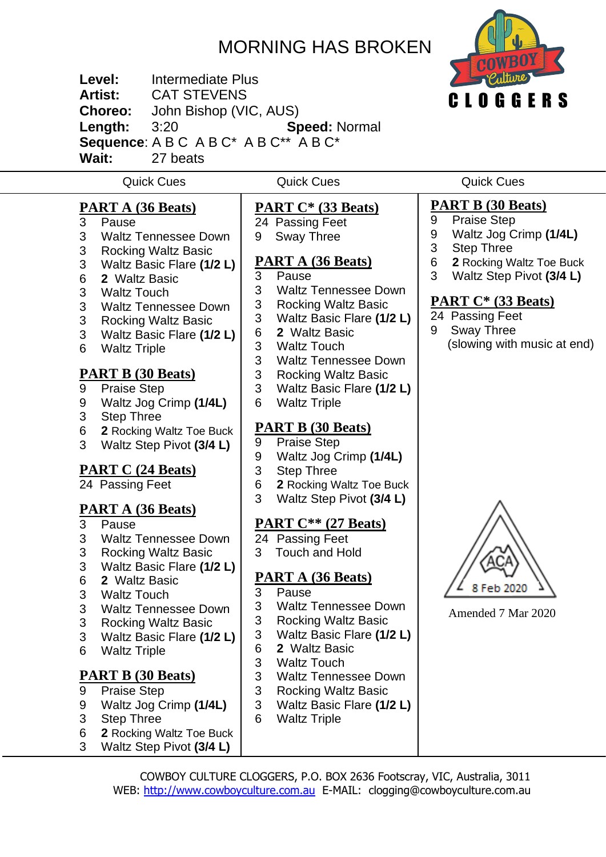# MORNING HAS BROKEN

C L O G G E R S

**Level:** Intermediate Plus **Artist:** CAT STEVENS **Choreo:** John Bishop (VIC, AUS) **Length:** 3:20 **Speed:** Normal **Sequence**: A B C A B C\* A B C\*\* A B C\* **Wait:** 27 beats

Quick Cues Quick Cues Quick Cues

- **PART A (36 Beats)** Pause
- Waltz Tennessee Down
- Rocking Waltz Basic
- Waltz Basic Flare **(1/2 L)**
- **2** Waltz Basic
- Waltz Touch
- Waltz Tennessee Down
- Rocking Waltz Basic
- Waltz Basic Flare **(1/2 L)**
- Waltz Triple

#### **PART B (30 Beats)**

- Praise Step
- Waltz Jog Crimp **(1/4L)**
- Step Three
- **2** Rocking Waltz Toe Buck
- Waltz Step Pivot **(3/4 L)**

### **PART C (24 Beats)**

Passing Feet

# **PART A (36 Beats)**

- Pause
- Waltz Tennessee Down
- Rocking Waltz Basic
- Waltz Basic Flare **(1/2 L)**
- **2** Waltz Basic
- Waltz Touch
- Waltz Tennessee Down
- Rocking Waltz Basic
- Waltz Basic Flare **(1/2 L)**
- Waltz Triple
- 
- **PART B (30 Beats)**
- Praise Step
- Waltz Jog Crimp **(1/4L)**
- Step Three
- **2** Rocking Waltz Toe Buck
- Waltz Step Pivot **(3/4 L)**

**PART C\* (33 Beats)** Passing Feet

- Sway Three
- 

# **PART A (36 Beats)**

- Pause
- Waltz Tennessee Down
- Rocking Waltz Basic
- Waltz Basic Flare **(1/2 L)**
- **2** Waltz Basic
- Waltz Touch
- Waltz Tennessee Down
- Rocking Waltz Basic
- Waltz Basic Flare **(1/2 L)**
- Waltz Triple

### **PART B (30 Beats)**

- Praise Step
- Waltz Jog Crimp **(1/4L)**
- Step Three
- **2** Rocking Waltz Toe Buck
- Waltz Step Pivot **(3/4 L)**

### **PART C\*\* (27 Beats)**

- Passing Feet
- 3 Touch and Hold

### **PART A (36 Beats)**

- Pause
- Waltz Tennessee Down
- Rocking Waltz Basic
- Waltz Basic Flare **(1/2 L)**
- **2** Waltz Basic
- Waltz Touch
- Waltz Tennessee Down
- Rocking Waltz Basic
- Waltz Basic Flare **(1/2 L)**
- Waltz Triple

# **PART B (30 Beats)**

- Praise Step
- Waltz Jog Crimp **(1/4L)**
- Step Three
- **2** Rocking Waltz Toe Buck
- Waltz Step Pivot **(3/4 L)**

#### **PART C\* (33 Beats)**

- Passing Feet
- Sway Three (slowing with music at end)



Amended 7 Mar 2020